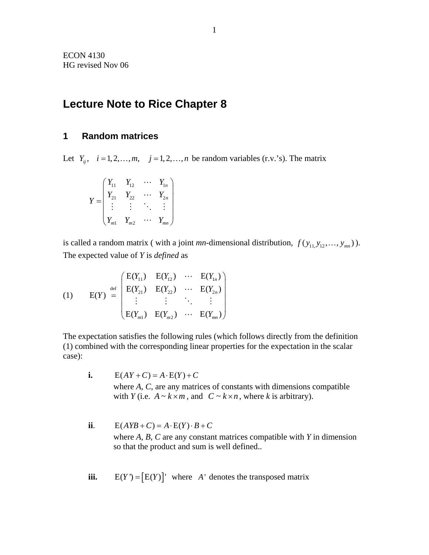# **Lecture Note to Rice Chapter 8**

# **1 Random matrices**

Let  $Y_{ii}$ ,  $i = 1, 2, ..., m$ ,  $j = 1, 2, ..., n$  be random variables (r.v.'s). The matrix

$$
Y = \begin{pmatrix} Y_{11} & Y_{12} & \cdots & Y_{1n} \\ Y_{21} & Y_{22} & \cdots & Y_{2n} \\ \vdots & \vdots & \ddots & \vdots \\ Y_{m1} & Y_{m2} & \cdots & Y_{mn} \end{pmatrix}
$$

is called a random matrix (with a joint *mn*-dimensional distribution,  $f(y_{11}, y_{12}, ..., y_{mn})$ ). The expected value of *Y* is *defined* as

(1) 
$$
E(Y) = \begin{pmatrix} E(Y_{11}) & E(Y_{12}) & \cdots & E(Y_{1n}) \\ E(Y_{21}) & E(Y_{22}) & \cdots & E(Y_{2n}) \\ \vdots & \vdots & \ddots & \vdots \\ E(Y_{m1}) & E(Y_{m2}) & \cdots & E(Y_{mn}) \end{pmatrix}
$$

The expectation satisfies the following rules (which follows directly from the definition (1) combined with the corresponding linear properties for the expectation in the scalar case):

- **i.**  $E(AY + C) = A \cdot E(Y) + C$ where *A*, *C*, are any matrices of constants with dimensions compatible with *Y* (i.e.  $A \sim k \times m$ , and  $C \sim k \times n$ , where *k* is arbitrary).
- **ii**.  $E(AYB+C) = A \cdot E(Y) \cdot B + C$ where *A, B, C* are any constant matrices compatible with *Y* in dimension so that the product and sum is well defined..
- **iii.**  $E(Y) = [E(Y)]'$  where *A'* denotes the transposed matrix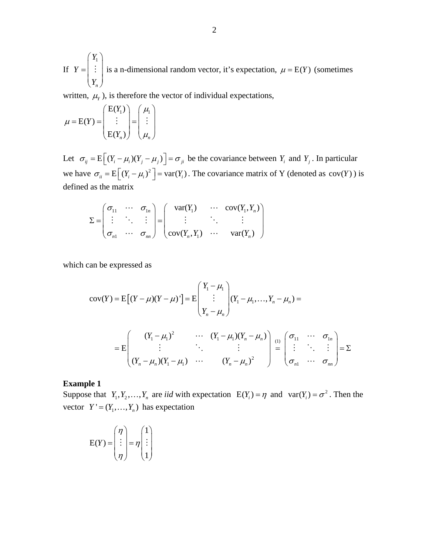If  $|Y| = |Y|$  is a n-dimensional random vector, it's expectation, 1 *n Y Y*  $=\begin{pmatrix} Y_1 \\ \vdots \\ Y_n \end{pmatrix}$  $\frac{1}{2}$  is a n-dimensional random vector, it's expectation,  $\mu = E(Y)$  (sometimes

written,  $\mu_Y$ ), is therefore the vector of individual expectations,

$$
\mu = E(Y) = \begin{pmatrix} E(Y_1) \\ \vdots \\ E(Y_n) \end{pmatrix} = \begin{pmatrix} \mu_1 \\ \vdots \\ \mu_n \end{pmatrix}
$$

Let  $\sigma_{ij} = E \left[ (Y_i - \mu_i)(Y_j - \mu_j) \right] = \sigma_{ji}$  be the covariance between  $Y_i$  and  $Y_j$ . In particular we have  $\sigma_{ii} = E \left[ (Y_i - \mu_i)^2 \right] = \text{var}(Y_i)$ . The covariance matrix of Y (denoted as  $\text{cov}(Y)$ ) is defined as the matrix

$$
\Sigma = \begin{pmatrix} \sigma_{11} & \cdots & \sigma_{1n} \\ \vdots & \ddots & \vdots \\ \sigma_{n1} & \cdots & \sigma_{nn} \end{pmatrix} = \begin{pmatrix} \text{var}(Y_1) & \cdots & \text{cov}(Y_1, Y_n) \\ \vdots & \ddots & \vdots \\ \text{cov}(Y_n, Y_1) & \cdots & \text{var}(Y_n) \end{pmatrix}
$$

which can be expressed as

$$
cov(Y) = E[(Y - \mu)(Y - \mu)^{T}] = E\begin{pmatrix} Y_{1} - \mu_{1} \\ \vdots \\ Y_{n} - \mu_{n} \end{pmatrix} (Y_{1} - \mu_{1}, \dots, Y_{n} - \mu_{n}) =
$$
  
\n
$$
= E\begin{pmatrix} (Y_{1} - \mu_{1})^{2} & \cdots & (Y_{1} - \mu_{1})(Y_{n} - \mu_{n}) \\ \vdots & \ddots & \vdots \\ (Y_{n} - \mu_{n})(Y_{1} - \mu_{1}) & \cdots & (Y_{n} - \mu_{n})^{2} \end{pmatrix} \xrightarrow{\text{(1)}} \begin{pmatrix} \sigma_{11} & \cdots & \sigma_{1n} \\ \vdots & \ddots & \vdots \\ \sigma_{n1} & \cdots & \sigma_{nn} \end{pmatrix} = \Sigma
$$

#### **Example 1**

Suppose that  $Y_1, Y_2, ..., Y_n$  are *iid* with expectation  $E(Y_i) = \eta$  and  $var(Y_i) = \sigma^2$ . Then the vector  $Y' = (Y_1, ..., Y_n)$  has expectation

$$
E(Y) = \begin{pmatrix} \eta \\ \vdots \\ \eta \end{pmatrix} = \eta \begin{pmatrix} 1 \\ \vdots \\ 1 \end{pmatrix}
$$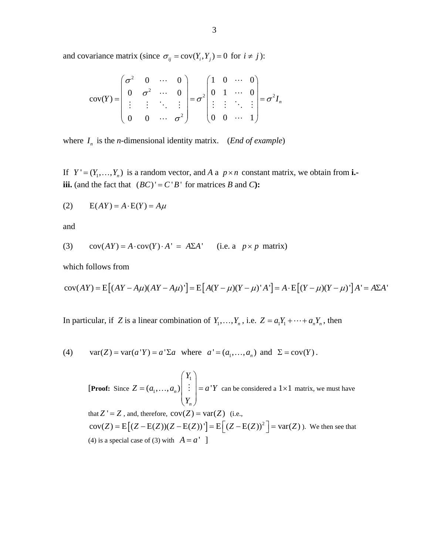and covariance matrix (since  $\sigma_{ij} = \text{cov}(Y_i, Y_j) = 0$  for  $i \neq j$ ):

$$
cov(Y) = \begin{pmatrix} \sigma^2 & 0 & \cdots & 0 \\ 0 & \sigma^2 & \cdots & 0 \\ \vdots & \vdots & \ddots & \vdots \\ 0 & 0 & \cdots & \sigma^2 \end{pmatrix} = \sigma^2 \begin{pmatrix} 1 & 0 & \cdots & 0 \\ 0 & 1 & \cdots & 0 \\ \vdots & \vdots & \ddots & \vdots \\ 0 & 0 & \cdots & 1 \end{pmatrix} = \sigma^2 I_n
$$

where  $I_n$  is the *n*-dimensional identity matrix. (*End of example*)

If  $Y' = (Y_1, \ldots, Y_n)$  is a random vector, and *A* a  $p \times n$  constant matrix, we obtain from **i.iii.** (and the fact that  $(BC)' = C'B'$  for matrices *B* and *C*):

$$
(2) \qquad E(AY) = A \cdot E(Y) = A\mu
$$

and

(3) 
$$
cov(AY) = A \cdot cov(Y) \cdot A' = A\Sigma A'
$$
 (i.e. a  $p \times p$  matrix)

which follows from

$$
cov(AY) = E[(AY - A\mu)(AY - A\mu)'] = E[A(Y - \mu)(Y - \mu)']A'] = A \cdot E[(Y - \mu)(Y - \mu)']A' = A\Sigma A'
$$

In particular, if *Z* is a linear combination of  $Y_1, \ldots, Y_n$ , i.e.  $Z = a_1 Y_1 + \cdots + a_n Y_n$ , then

(4) 
$$
var(Z) = var(a'Y) = a' \Sigma a
$$
 where  $a' = (a_1, \dots, a_n)$  and  $\Sigma = cov(Y)$ .

 [**Proof:** Since 1  $(a_1, ..., a_n)$   $\begin{array}{c} | \\ | \\ | \end{array} = a'$ *n Y*  $Z = (a_1, \ldots, a_n) \mid \vdots \mid = a$  $=(a_1,\ldots,a_n)$   $\begin{pmatrix} Y_1 \\ \vdots \\ Y_n \end{pmatrix}$  $\langle \ldots, a_{n} \rangle$   $\begin{bmatrix} \vdots \\ \vdots \end{bmatrix} = a^{\dagger} Y$  can be considered a  $1 \times 1$  matrix, we must have that  $Z' = Z$ , and, therefore,  $cov(Z) = var(Z)$  (i.e.,  $cov(Z) = E[(Z - E(Z))(Z - E(Z))'] = E[(Z - E(Z))^2] = var(Z)$ ). We then see that (4) is a special case of (3) with  $A = a'$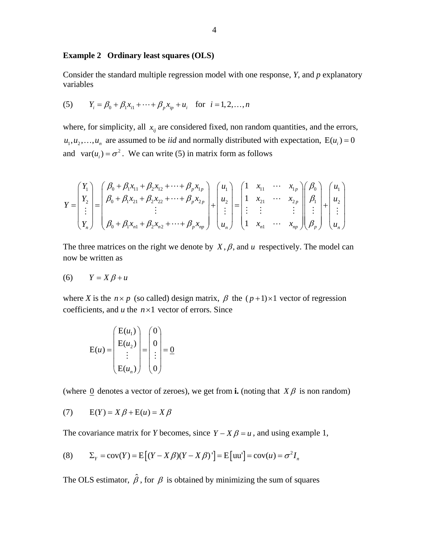## **Example 2 Ordinary least squares (OLS)**

Consider the standard multiple regression model with one response, *Y*, and *p* explanatory variables

(5) 
$$
Y_i = \beta_0 + \beta_1 x_{i1} + \dots + \beta_p x_{ip} + u_i
$$
 for  $i = 1, 2, ..., n$ 

where, for simplicity, all  $x_{ij}$  are considered fixed, non random quantities, and the errors,  $u_1, u_2, \ldots, u_n$  are assumed to be *iid* and normally distributed with expectation,  $E(u_i) = 0$ and  $var(u_i) = \sigma^2$ . We can write (5) in matrix form as follows

$$
Y = \begin{pmatrix} Y_1 \\ Y_2 \\ \vdots \\ Y_n \end{pmatrix} = \begin{pmatrix} \beta_0 + \beta_1 x_{11} + \beta_2 x_{12} + \dots + \beta_p x_{1p} \\ \beta_0 + \beta_1 x_{21} + \beta_2 x_{22} + \dots + \beta_p x_{2p} \\ \vdots \\ \beta_0 + \beta_1 x_{n1} + \beta_2 x_{n2} + \dots + \beta_p x_{np} \end{pmatrix} + \begin{pmatrix} u_1 \\ u_2 \\ \vdots \\ u_n \end{pmatrix} = \begin{pmatrix} 1 & x_{11} & \cdots & x_{1p} \\ 1 & x_{21} & \cdots & x_{2p} \\ \vdots & \vdots & & \vdots \\ 1 & x_{n1} & \cdots & x_{np} \end{pmatrix} \begin{pmatrix} \beta_0 \\ \beta_1 \\ \vdots \\ \beta_p \end{pmatrix} + \begin{pmatrix} u_1 \\ u_2 \\ \vdots \\ u_n \end{pmatrix}
$$

The three matrices on the right we denote by  $X, \beta$ , and  $u$  respectively. The model can now be written as

$$
(6) \qquad Y = X\beta + u
$$

where *X* is the  $n \times p$  (so called) design matrix,  $\beta$  the  $(p+1) \times 1$  vector of regression coefficients, and *u* the *n*×1 vector of errors. Since

$$
E(u) = \begin{pmatrix} E(u_1) \\ E(u_2) \\ \vdots \\ E(u_n) \end{pmatrix} = \begin{pmatrix} 0 \\ 0 \\ \vdots \\ 0 \end{pmatrix} = \underline{0}
$$

(where 0 denotes a vector of zeroes), we get from **i.** (noting that  $X\beta$  is non random)

$$
(7) \qquad E(Y) = X\beta + E(u) = X\beta
$$

The covariance matrix for *Y* becomes, since  $Y - X\beta = u$ , and using example 1,

(8) 
$$
\Sigma_Y = \text{cov}(Y) = \text{E}\left[(Y - X\beta)(Y - X\beta)^{\dagger}\right] = \text{E}\left[\text{uu}'\right] = \text{cov}(u) = \sigma^2 I_n
$$

The OLS estimator,  $\hat{\beta}$ , for  $\beta$  is obtained by minimizing the sum of squares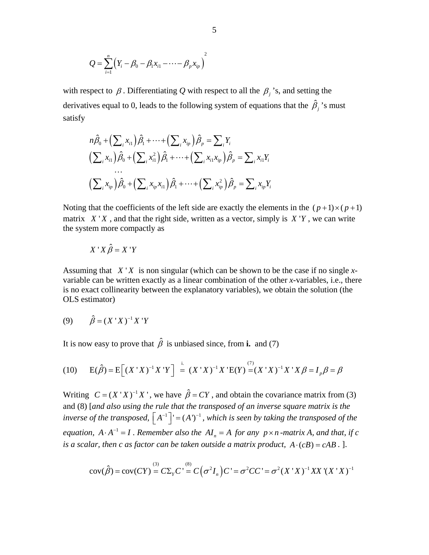$$
Q = \sum_{i=1}^{n} (Y_i - \beta_0 - \beta_1 x_{i1} - \cdots - \beta_p x_{ip})^2
$$

with respect to  $\beta$ . Differentiating Q with respect to all the  $\beta$ <sup>3</sup>, s, and setting the derivatives equal to 0, leads to the following system of equations that the  $\hat{\beta}_j$ 's must satisfy

$$
n\hat{\beta}_0 + \left(\sum_i x_{i1}\right)\hat{\beta}_1 + \dots + \left(\sum_i x_{ip}\right)\hat{\beta}_p = \sum_i Y_i
$$
  

$$
\left(\sum_i x_{i1}\right)\hat{\beta}_0 + \left(\sum_i x_{i1}^2\right)\hat{\beta}_1 + \dots + \left(\sum_i x_{i1}x_{ip}\right)\hat{\beta}_p = \sum_i x_{i1}Y_i
$$
  
...  

$$
\left(\sum_i x_{ip}\right)\hat{\beta}_0 + \left(\sum_i x_{ip}x_{i1}\right)\hat{\beta}_1 + \dots + \left(\sum_i x_{ip}^2\right)\hat{\beta}_p = \sum_i x_{ip}Y_i
$$

Noting that the coefficients of the left side are exactly the elements in the  $(p+1)\times (p+1)$ matrix  $X'X$ , and that the right side, written as a vector, simply is  $X'Y$ , we can write the system more compactly as

$$
X'X\hat{\beta} = X'Y
$$

Assuming that  $X'X$  is non singular (which can be shown to be the case if no single xvariable can be written exactly as a linear combination of the other *x*-variables, i.e., there is no exact collinearity between the explanatory variables), we obtain the solution (the OLS estimator)

(9) 
$$
\hat{\beta} = (X'X)^{-1}X'Y
$$

It is now easy to prove that  $\hat{\beta}$  is unbiased since, from **i.** and (7)

(10) 
$$
E(\hat{\beta}) = E[(X'X)^{-1}X'Y] = (X'X)^{-1}X'E(Y) = (X'X)^{-1}X'X\beta = I_p\beta = \beta
$$

*inverse of the transposed,*  $\begin{bmatrix} A^{-1} \end{bmatrix}$  =  $(A')^{-1}$ , which is seen by taking the transposed of the Writing  $C = (X'X)^{-1}X'$ , we have  $\hat{\beta} = CY$ , and obtain the covariance matrix from (3) and (8) [*and also using the rule that the transposed of an inverse square matrix is the equation,*  $A \cdot A^{-1} = I$ . Remember also the  $AI_n = A$  for any  $p \times n$  -matrix A, and that, if c *is a scalar, then c as factor can be taken outside a matrix product,*  $A \cdot (c) = cAB$ . ].

$$
cov(\hat{\beta}) = cov(CY) = C\Sigma_{Y}C' = C(\sigma^{2}I_{n})C' = \sigma^{2}CC' = \sigma^{2}(X'X)^{-1}XX'(X'X)^{-1}
$$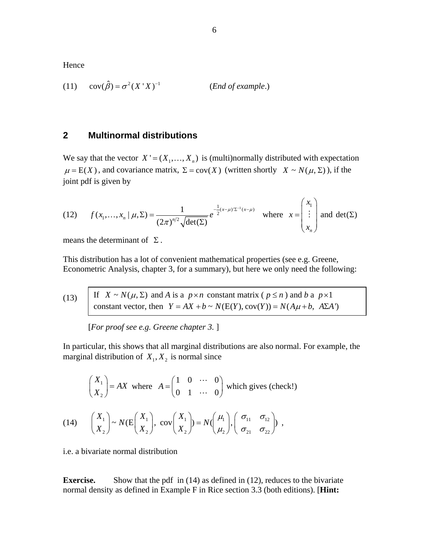Hence

(11) 
$$
cov(\hat{\beta}) = \sigma^2 (X'X)^{-1}
$$
 (*End of example.*)

# **2 Multinormal distributions**

We say that the vector  $X' = (X_1, \ldots, X_n)$  is (multi)normally distributed with expectation  $\mu = E(X)$ , and covariance matrix,  $\Sigma = cov(X)$  (written shortly  $X \sim N(\mu, \Sigma)$ ), if the joint pdf is given by

(12) 
$$
f(x_1,...,x_n \mid \mu, \Sigma) = \frac{1}{(2\pi)^{n/2} \sqrt{\det(\Sigma)}} e^{-\frac{1}{2}(x-\mu)\Sigma^{-1}(x-\mu)} \text{ where } x = \begin{pmatrix} x_1 \\ \vdots \\ x_n \end{pmatrix} \text{ and } \det(\Sigma)
$$

means the determinant of  $\Sigma$ .

This distribution has a lot of convenient mathematical properties (see e.g. Greene, Econometric Analysis, chapter 3, for a summary), but here we only need the following:

(13) . If  $X \sim N(\mu, \Sigma)$  and *A* is a  $p \times n$  constant matrix ( $p \le n$ ) and *b* a  $p \times 1$ constant vector, then  $Y = AX + b \sim N(E(Y), cov(Y)) = N(A\mu + b, AZA')$ 

[*For proof see e.g. Greene chapter 3.* ]

In particular, this shows that all marginal distributions are also normal. For example, the marginal distribution of  $X_1, X_2$  is normal since

$$
\begin{pmatrix} X_1 \\ X_2 \end{pmatrix} = AX \text{ where } A = \begin{pmatrix} 1 & 0 & \cdots & 0 \\ 0 & 1 & \cdots & 0 \end{pmatrix} \text{ which gives (check!)}
$$
  
(14) 
$$
\begin{pmatrix} X_1 \\ X_2 \end{pmatrix} \sim N(E \begin{pmatrix} X_1 \\ X_2 \end{pmatrix}, \text{ cov} \begin{pmatrix} X_1 \\ X_2 \end{pmatrix}) = N(\begin{pmatrix} \mu_1 \\ \mu_2 \end{pmatrix}, \begin{pmatrix} \sigma_{11} & \sigma_{12} \\ \sigma_{21} & \sigma_{22} \end{pmatrix}),
$$

i.e. a bivariate normal distribution

**Exercise.** Show that the pdf in (14) as defined in (12), reduces to the bivariate normal density as defined in Example F in Rice section 3.3 (both editions). [**Hint:**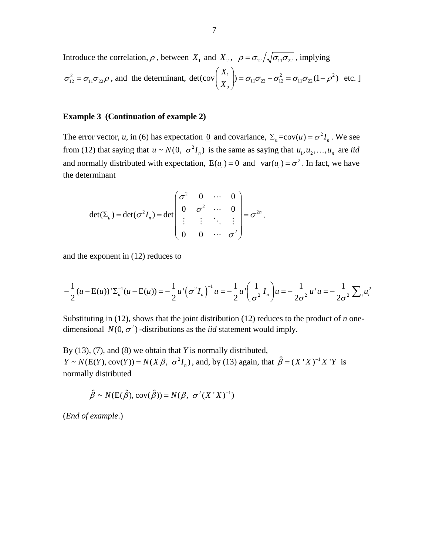Introduce the correlation,  $\rho$ , between  $X_1$  and  $X_2$ ,  $\rho = \sigma_{12}/\sqrt{\sigma_{11} \sigma_{22}}$ , implying  $\sigma_{12}^2 = \sigma_{11} \sigma_{22} \rho$ , and the determinant, det(cov $\begin{vmatrix} \Delta_1 \\ \nu \end{vmatrix} = \sigma_{11} \sigma_{22} - \sigma_{12}^2 = \sigma_{11} \sigma_{22} (1 - \rho^2)$ 2 det(cov $\begin{pmatrix} 1 & 1 \ 1 & 1 \end{pmatrix} = \sigma_{11}\sigma_{22} - \sigma_{12}^2 = \sigma_{11}\sigma_{22}(1-\rho^2)$ *X*  $\begin{pmatrix} X_1 \ X_2 \end{pmatrix}$  =  $\sigma_{11}\sigma_{22}$  -  $\sigma_{12}^2$  =  $\sigma_{11}\sigma_{22}$  (1 -  $\rho$  $(X_2)$ etc. ]

## **Example 3 (Continuation of example 2)**

The error vector, *u*, in (6) has expectation <u>0</u> and covariance,  $\Sigma_u = cov(u) = \sigma^2 I_n$ . We see from (12) that saying that  $u \sim N(\underline{0}, \sigma^2 I_n)$  is the same as saying that  $u_1, u_2, ..., u_n$  are *iid* and normally distributed with expectation,  $E(u_i) = 0$  and  $var(u_i) = \sigma^2$ . In fact, we have the determinant

$$
\det(\Sigma_u) = \det(\sigma^2 I_n) = \det\begin{pmatrix} \sigma^2 & 0 & \cdots & 0 \\ 0 & \sigma^2 & \cdots & 0 \\ \vdots & \vdots & \ddots & \vdots \\ 0 & 0 & \cdots & \sigma^2 \end{pmatrix} = \sigma^{2n}.
$$

and the exponent in (12) reduces to

$$
-\frac{1}{2}(u - \mathbf{E}(u))'\Sigma_{u}^{-1}(u - \mathbf{E}(u)) = -\frac{1}{2}u'\left(\sigma^{2}I_{n}\right)^{-1}u = -\frac{1}{2}u'\left(\frac{1}{\sigma^{2}}I_{n}\right)u = -\frac{1}{2\sigma^{2}}u'u = -\frac{1}{2\sigma^{2}}\sum_{i}u_{i}^{2}
$$

Substituting in (12), shows that the joint distribution (12) reduces to the product of *n* onedimensional  $N(0, \sigma^2)$  -distributions as the *iid* statement would imply.

By (13), (7), and (8) we obtain that *Y* is normally distributed,  $Y \sim N(E(Y), cov(Y)) = N(X \beta, \sigma^2 I_n)$ , and, by (13) again, that  $\hat{\beta} = (X'X)^{-1}X'Y$  is normally distributed

$$
\hat{\beta} \sim N(E(\hat{\beta}), cov(\hat{\beta})) = N(\beta, \sigma^2(X'X)^{-1})
$$

(*End of example*.)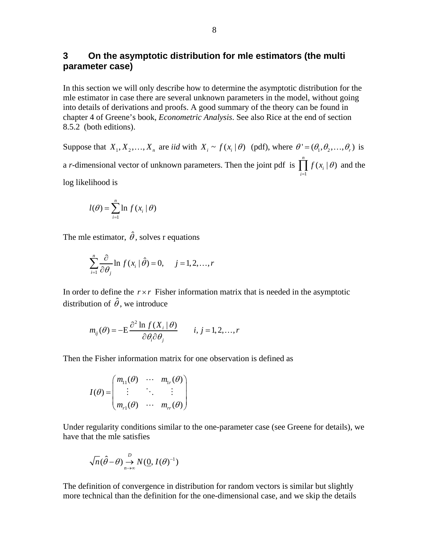# **3 On the asymptotic distribution for mle estimators (the multi parameter case)**

In this section we will only describe how to determine the asymptotic distribution for the mle estimator in case there are several unknown parameters in the model, without going into details of derivations and proofs. A good summary of the theory can be found in chapter 4 of Greene's book, *Econometric Analysis*. See also Rice at the end of section 8.5.2 (both editions).

Suppose that  $X_1, X_2, ..., X_n$  are *iid* with  $X_i \sim f(x_i | \theta)$  (pdf), where  $\theta' = (\theta_1, \theta_2, ..., \theta_n)$  is a *r*-dimensional vector of unknown parameters. Then the joint pdf is 1  $(x_i | \theta)$ *n i i*  $f(x_i | \theta)$  $\prod_{i=1} f(x_i | \theta)$  and the log likelihood is

$$
l(\theta) = \sum_{i=1}^{n} \ln f(x_i | \theta)
$$

The mle estimator,  $\hat{\theta}$ , solves r equations

$$
\sum_{i=1}^{n} \frac{\partial}{\partial \theta_j} \ln f(x_i | \hat{\theta}) = 0, \quad j = 1, 2, \dots, r
$$

In order to define the  $r \times r$  Fisher information matrix that is needed in the asymptotic distribution of  $\hat{\theta}$ , we introduce

$$
m_{ij}(\theta) = -E \frac{\partial^2 \ln f(X_i | \theta)}{\partial \theta_i \partial \theta_j} \qquad i, j = 1, 2, ..., r
$$

Then the Fisher information matrix for one observation is defined as

$$
I(\theta) = \begin{pmatrix} m_{11}(\theta) & \cdots & m_{1r}(\theta) \\ \vdots & \ddots & \vdots \\ m_{r1}(\theta) & \cdots & m_{rr}(\theta) \end{pmatrix}
$$

Under regularity conditions similar to the one-parameter case (see Greene for details), we have that the mle satisfies

$$
\sqrt{n}(\hat{\theta}-\theta) \mathop{\to}\limits_{n\to\infty}^D N(\underline{0}, I(\theta)^{-1})
$$

The definition of convergence in distribution for random vectors is similar but slightly more technical than the definition for the one-dimensional case, and we skip the details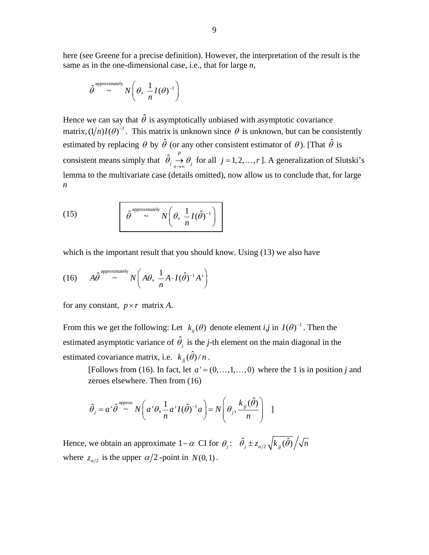here (see Greene for a precise definition). However, the interpretation of the result is the same as in the one-dimensional case, i.e., that for large *n*,

$$
\hat{\theta}^{\text{approximately}} \sim N\left(\theta, \frac{1}{n}I(\theta)^{-1}\right)
$$

Hence we can say that  $\hat{\theta}$  is asymptotically unbiased with asymptotic covariance matrix,  $(1/n)I(\theta)^{-1}$ . This matrix is unknown since  $\theta$  is unknown, but can be consistently estimated by replacing  $\theta$  by  $\hat{\theta}$  (or any other consistent estimator of  $\theta$ ). [That  $\hat{\theta}$  is consistent means simply that  $\hat{\theta}_j \stackrel{P}{\rightarrow} \theta_j$  $\rightarrow \theta_j$  for all *j* = 1, 2, ..., *r*]. A generalization of Slutski's lemma to the multivariate case (details omitted), now allow us to conclude that, for large *n*

(15) 
$$
\hat{\theta}^{\text{approximately}} N\left(\theta, \frac{1}{n}I(\hat{\theta})^{-1}\right)
$$

which is the important result that you should know. Using  $(13)$  we also have

(16) 
$$
A\hat{\theta}^{\text{approximately}} \sim N\left(A\theta, \frac{1}{n}A \cdot I(\hat{\theta})^{-1}A'\right)
$$

for any constant,  $p \times r$  matrix A.

From this we get the following: Let  $k_{ii}(\theta)$  denote element *i,j* in  $I(\theta)^{-1}$ . Then the estimated asymptotic variance of  $\hat{\theta}$ , is the *j*-th element on the main diagonal in the estimated covariance matrix, i.e.  $k_{ii}(\hat{\theta})/n$ .

[Follows from (16). In fact, let  $a' = (0, \ldots, 1, \ldots, 0)$  where the 1 is in position *j* and zeroes elsewhere. Then from (16)

$$
\hat{\theta}_j = a^{\dagger} \hat{\theta}^{\text{approx.}} N\left(a^{\dagger} \theta, \frac{1}{n} a^{\dagger} I(\hat{\theta})^{-1} a\right) = N\left(\theta_j, \frac{k_{jj}(\hat{\theta})}{n}\right) \quad 1
$$

Hence, we obtain an approximate  $1-\alpha$  CI for  $\theta_j: \hat{\theta}_j \pm z_{\alpha/2} \sqrt{k_{jj}(\hat{\theta})}/\sqrt{n}$ where  $z_{\alpha/2}$  is the upper  $\alpha/2$ -point in  $N(0,1)$ .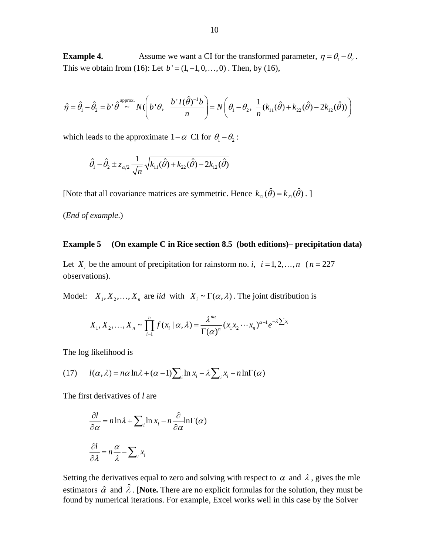**Example 4.** Assume we want a CI for the transformed parameter,  $\eta = \theta_1 - \theta_2$ . This we obtain from (16): Let  $b' = (1, -1, 0, \ldots, 0)$ . Then, by (16),

$$
\hat{\eta} = \hat{\theta}_1 - \hat{\theta}_2 = b^{\dagger} \hat{\theta}^{\text{approx.}} N \left( b^{\dagger} \theta, \frac{b^{\dagger} I(\hat{\theta})^{-1} b}{n} \right) = N \left( \theta_1 - \theta_2, \frac{1}{n} (k_{11}(\hat{\theta}) + k_{22}(\hat{\theta}) - 2k_{12}(\hat{\theta})) \right)
$$

which leads to the approximate  $1-\alpha$  CI for  $\theta_1 - \theta_2$ :

$$
\hat{\theta}_1 - \hat{\theta}_2 \pm z_{\alpha/2} \frac{1}{\sqrt{n}} \sqrt{k_{11}(\hat{\theta}) + k_{22}(\hat{\theta}) - 2k_{12}(\hat{\theta})}
$$

[Note that all covariance matrices are symmetric. Hence  $k_{12}(\hat{\theta}) = k_{21}(\hat{\theta})$ .]

(*End of example*.)

## **Example 5 (On example C in Rice section 8.5 (both editions)– precipitation data)**

Let  $X_i$  be the amount of precipitation for rainstorm no. *i*,  $i = 1, 2, ..., n$  ( $n = 227$ ) observations).

Model:  $X_1, X_2, ..., X_n$  are *iid* with  $X_i \sim \Gamma(\alpha, \lambda)$ . The joint distribution is

$$
X_1, X_2, \ldots, X_n \sim \prod_{i=1}^n f(x_i \mid \alpha, \lambda) = \frac{\lambda^{n\alpha}}{\Gamma(\alpha)^n} (x_1 x_2 \cdots x_n)^{\alpha-1} e^{-\lambda \sum x_i}
$$

The log likelihood is

(17) 
$$
l(\alpha, \lambda) = n\alpha \ln \lambda + (\alpha - 1) \sum_{i} \ln x_{i} - \lambda \sum_{i} x_{i} - n \ln \Gamma(\alpha)
$$

The first derivatives of *l* are

$$
\frac{\partial l}{\partial \alpha} = n \ln \lambda + \sum_{i} \ln x_{i} - n \frac{\partial}{\partial \alpha} \ln \Gamma(\alpha)
$$

$$
\frac{\partial l}{\partial \lambda} = n \frac{\alpha}{\lambda} - \sum_{i} x_{i}
$$

Setting the derivatives equal to zero and solving with respect to  $\alpha$  and  $\lambda$ , gives the mle estimators  $\hat{\alpha}$  and  $\hat{\lambda}$ . [Note. There are no explicit formulas for the solution, they must be found by numerical iterations. For example, Excel works well in this case by the Solver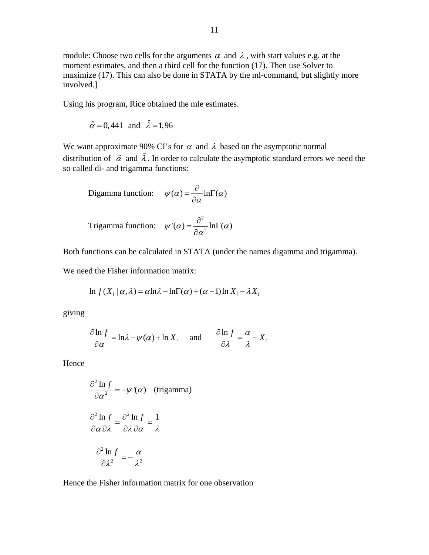module: Choose two cells for the arguments  $\alpha$  and  $\lambda$ , with start values e.g. at the moment estimates, and then a third cell for the function (17). Then use Solver to maximize (17). This can also be done in STATA by the ml-command, but slightly more involved.]

Using his program, Rice obtained the mle estimates.

$$
\hat{\alpha} = 0,441 \text{ and } \hat{\lambda} = 1,96
$$

We want approximate 90% CI's for  $\alpha$  and  $\lambda$  based on the asymptotic normal distribution of  $\hat{\alpha}$  and  $\hat{\lambda}$ . In order to calculate the asymptotic standard errors we need the so called di- and trigamma functions:

$$
\text{Digamma function:} \quad \psi(\alpha) = \frac{\partial}{\partial \alpha} \ln \Gamma(\alpha)
$$

Trigamma function: 
$$
\psi'(\alpha) = \frac{\partial^2}{\partial \alpha^2} \ln \Gamma(\alpha)
$$

Both functions can be calculated in STATA (under the names digamma and trigamma).

We need the Fisher information matrix:

$$
\ln f(X_i \mid \alpha, \lambda) = \alpha \ln \lambda - \ln \Gamma(\alpha) + (\alpha - 1) \ln X_i - \lambda X_i
$$

giving

$$
\frac{\partial \ln f}{\partial \alpha} = \ln \lambda - \psi(\alpha) + \ln X_i \quad \text{and} \quad \frac{\partial \ln f}{\partial \lambda} = \frac{\alpha}{\lambda} - X_i
$$

Hence

$$
\frac{\partial^2 \ln f}{\partial \alpha^2} = -\psi'(\alpha) \quad \text{(trigamma)}
$$

$$
\frac{\partial^2 \ln f}{\partial \alpha \partial \lambda} = \frac{\partial^2 \ln f}{\partial \lambda \partial \alpha} = \frac{1}{\lambda}
$$

$$
\frac{\partial^2 \ln f}{\partial \lambda^2} = -\frac{\alpha}{\lambda^2}
$$

Hence the Fisher information matrix for one observation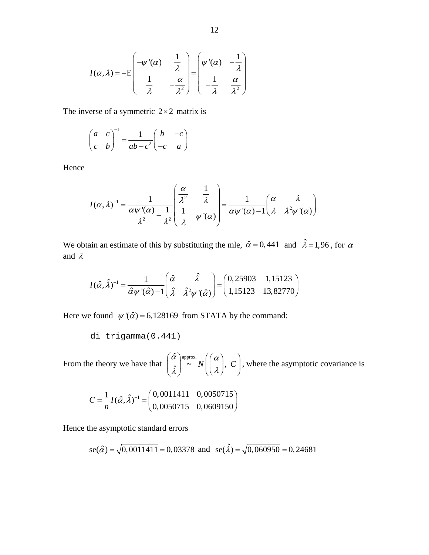$$
I(\alpha,\lambda) = -E\begin{pmatrix} -\psi'(\alpha) & \frac{1}{\lambda} \\ \frac{1}{\lambda} & -\frac{\alpha}{\lambda^2} \end{pmatrix} = \begin{pmatrix} \psi'(\alpha) & -\frac{1}{\lambda} \\ -\frac{1}{\lambda} & \frac{\alpha}{\lambda^2} \end{pmatrix}
$$

The inverse of a symmetric  $2 \times 2$  matrix is

$$
\begin{pmatrix} a & c \\ c & b \end{pmatrix}^{-1} = \frac{1}{ab - c^2} \begin{pmatrix} b & -c \\ -c & a \end{pmatrix}
$$

Hence

$$
I(\alpha,\lambda)^{-1} = \frac{1}{\frac{\alpha\psi'(\alpha)}{\lambda^2} - \frac{1}{\lambda^2}} \begin{pmatrix} \frac{\alpha}{\lambda^2} & \frac{1}{\lambda} \\ \frac{1}{\lambda} & \psi'(\alpha) \end{pmatrix} = \frac{1}{\alpha\psi'(\alpha) - 1} \begin{pmatrix} \alpha & \lambda \\ \lambda & \lambda^2\psi'(\alpha) \end{pmatrix}
$$

We obtain an estimate of this by substituting the mle,  $\hat{\alpha} = 0,441$  and  $\hat{\lambda} = 1,96$ , for  $\alpha$ and λ

$$
I(\hat{\alpha}, \hat{\lambda})^{-1} = \frac{1}{\hat{\alpha}\psi'(\hat{\alpha}) - 1} \begin{pmatrix} \hat{\alpha} & \hat{\lambda} \\ \hat{\lambda} & \hat{\lambda}^2 \psi'(\hat{\alpha}) \end{pmatrix} = \begin{pmatrix} 0,25903 & 1,15123 \\ 1,15123 & 13,82770 \end{pmatrix}
$$

Here we found  $\psi'(\hat{\alpha}) = 6,128169$  from STATA by the command:

di trigamma(0.441)

From the theory we have that  $\begin{pmatrix} \hat{\alpha} \\ \hat{\lambda} \end{pmatrix} \sim N \begin{pmatrix} \alpha \\ \lambda \end{pmatrix}$ , where the asymptotic covariance is  $\begin{pmatrix} \hat{\alpha} \ \hat{\lambda} \end{pmatrix}^{\text{approx.}} N \begin{pmatrix} \alpha \ \lambda \end{pmatrix},\ C \end{pmatrix}$  $C \mid$ 

$$
C = \frac{1}{n} I(\hat{\alpha}, \hat{\lambda})^{-1} = \begin{pmatrix} 0.0011411 & 0.0050715 \\ 0.0050715 & 0.0609150 \end{pmatrix}
$$

Hence the asymptotic standard errors

se(
$$
\hat{\alpha}
$$
) =  $\sqrt{0,0011411}$  = 0,03378 and se( $\hat{\lambda}$ ) =  $\sqrt{0,060950}$  = 0,24681